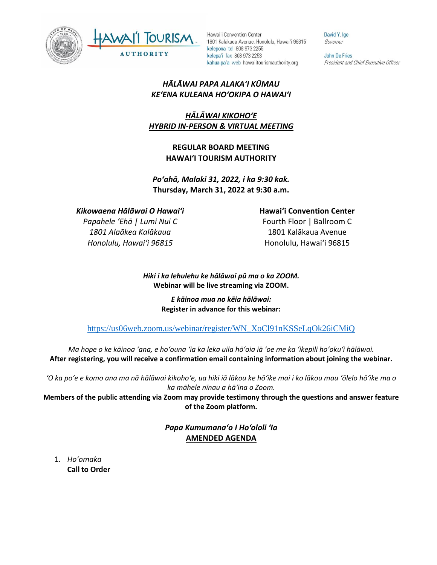



David Y. Ige Governor

John De Fries President and Chief Executive Officer

## *HĀLĀWAI PAPA ALAKAʻI KŪMAU KEʻENA KULEANA HOʻOKIPA O HAWAIʻI*

# *HĀLĀWAI KIKOHOʻE HYBRID IN-PERSON & VIRTUAL MEETING*

## **REGULAR BOARD MEETING HAWAI'I TOURISM AUTHORITY**

*Poʻahā, Malaki 31, 2022, i ka 9:30 kak.* **Thursday, March 31, 2022 at 9:30 a.m.**

## *Kikowaena Hālāwai O Hawaiʻi*

*Papahele ʻEhā | Lumi Nui C 1801 Alaākea Kalākaua Honolulu, Hawaiʻi 96815*

#### **Hawaiʻi Convention Center**

Fourth Floor | Ballroom C 1801 Kalākaua Avenue Honolulu, Hawaiʻi 96815

*Hiki i ka lehulehu ke hālāwai pū ma o ka ZOOM.* **Webinar will be live streaming via ZOOM.**

> *E kāinoa mua no kēia hālāwai:* **Register in advance for this webinar:**

[https://us06web.zoom.us/webinar/register/WN\\_XoCl91nKSSeLqOk26iCMiQ](https://us06web.zoom.us/webinar/register/WN_XoCl91nKSSeLqOk26iCMiQ)

*Ma hope o ke kāinoa ʻana, e hoʻouna ʻia ka leka uila hōʻoia iā ʻoe me ka ʻikepili hoʻokuʻi hālāwai.* **After registering, you will receive a confirmation email containing information about joining the webinar.** 

*ʻO ka poʻe e komo ana ma nā hālāwai kikohoʻe, ua hiki iā lākou ke hōʻike mai i ko lākou mau ʻōlelo hōʻike ma o ka māhele nīnau a hāʻina o Zoom.*

**Members of the public attending via Zoom may provide testimony through the questions and answer feature of the Zoom platform.**

> *Papa Kumumanaʻo I Hoʻololi ʻIa* **AMENDED AGENDA**

1. *Ho'omaka* **Call to Order**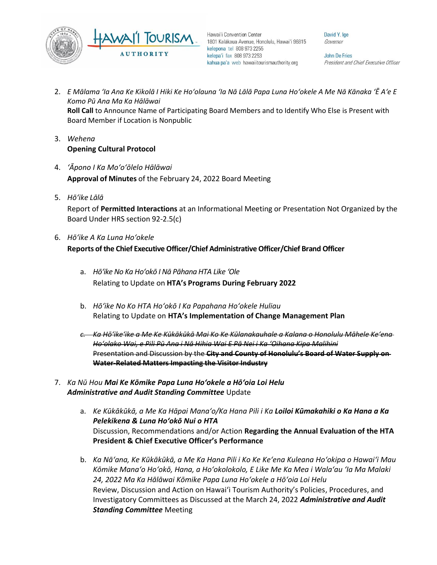

David Y. Ige Governor

John De Fries President and Chief Executive Officer

- 2. *E Mālama ʻIa Ana Ke Kikolā I Hiki Ke Hoʻolauna ʻIa Nā Lālā Papa Luna Hoʻokele A Me Nā Kānaka ʻĒ Aʻe E Komo Pū Ana Ma Ka Hālāwai* **Roll Call** to Announce Name of Participating Board Members and to Identify Who Else is Present with Board Member if Location is Nonpublic
- 3. *Wehena* **Opening Cultural Protocol**
- 4. *ʻĀpono I Ka Moʻoʻōlelo Hālāwai* **Approval of Minutes** of the February 24, 2022 Board Meeting
- 5. *Hō'ike Lālā*

Report of **Permitted Interactions** at an Informational Meeting or Presentation Not Organized by the Board Under HRS section 92-2.5(c)

6. *Hōʻike A Ka Luna Hoʻokele*

**Reports of the Chief Executive Officer/Chief Administrative Officer/Chief Brand Officer**

- a. *Hōʻike No Ka Hoʻokō I Nā Pāhana HTA Like ʻOle* Relating to Update on **HTA's Programs During February 2022**
- b. *Hōʻike No Ko HTA Hoʻokō I Ka Papahana Hoʻokele Huliau* Relating to Update on **HTA's Implementation of Change Management Plan**
- *c. Ka Hōʻikeʻike a Me Ke Kūkākūkā Mai Ko Ke Kūlanakauhale a Kalana o Honolulu Māhele Keʻena Hoʻolako Wai, e Pili Pū Ana i Nā Hihia Wai E Pā Nei i Ka ʻOihana Kipa Malihini* Presentation and Discussion by the **City and County of Honolulu's Board of Water Supply on Water-Related Matters Impacting the Visitor Industry**
- 7. *Ka Nū Hou Mai Ke Kōmike Papa Luna Hoʻokele a Hōʻoia Loi Helu Administrative and Audit Standing Committee* Update
	- a. *Ke Kūkākūkā, a Me Ka Hāpai Manaʻo/Ka Hana Pili i Ka Loiloi Kūmakahiki o Ka Hana a Ka Pelekikena & Luna Hoʻokō Nui o HTA* Discussion, Recommendations and/or Action **Regarding the Annual Evaluation of the HTA President & Chief Executive Officer's Performance**
	- b. *Ka Nāʻana, Ke Kūkākūkā, a Me Ka Hana Pili i Ko Ke Keʻena Kuleana Hoʻokipa o Hawaiʻi Mau Kōmike Manaʻo Hoʻokō, Hana, a Hoʻokolokolo, E Like Me Ka Mea i Walaʻau ʻIa Ma Malaki 24, 2022 Ma Ka Hālāwai Kōmike Papa Luna Hoʻokele a Hōʻoia Loi Helu* Review, Discussion and Action on Hawai'i Tourism Authority's Policies, Procedures, and Investigatory Committees as Discussed at the March 24, 2022 *Administrative and Audit Standing Committee* Meeting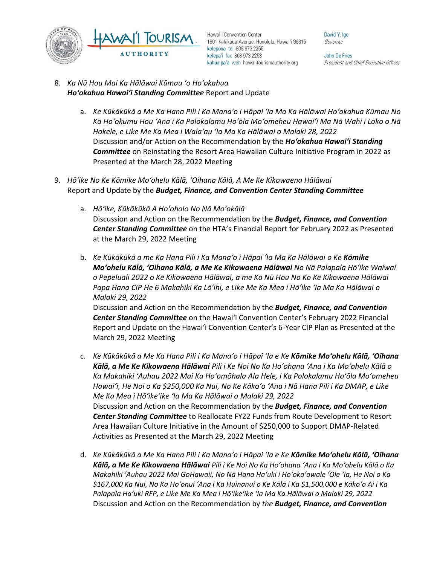

David Y. Ige Governor

John De Fries President and Chief Executive Officer

- 8. *Ka Nū Hou Mai Ka Hālāwai Kūmau ʻo Hoʻokahua Hoʻokahua Hawai'i Standing Committee* Report and Update
	- a. *Ke Kūkākūkā a Me Ka Hana Pili i Ka Manaʻo i Hāpai ʻIa Ma Ka Hālāwai Hoʻokahua Kūmau No Ka Hoʻokumu Hou ʻAna i Ka Polokalamu Hoʻōla Moʻomeheu Hawaiʻi Ma Nā Wahi i Loko o Nā Hokele, e Like Me Ka Mea i Walaʻau ʻIa Ma Ka Hālāwai o Malaki 28, 2022* Discussion and/or Action on the Recommendation by the *Hoʻokahua Hawai'i Standing Committee* on Reinstating the Resort Area Hawaiian Culture Initiative Program in 2022 as Presented at the March 28, 2022 Meeting
- 9. *Hōʻike No Ke Kōmike Moʻohelu Kālā, ʻOihana Kālā, A Me Ke Kikowaena Hālāwai* Report and Update by the *Budget, Finance, and Convention Center Standing Committee*
	- a. *Hōʻike, Kūkākūkā A Hoʻoholo No Nā Moʻokālā* Discussion and Action on the Recommendation by the *Budget, Finance, and Convention Center Standing Committee* on the HTA's Financial Report for February 2022 as Presented at the March 29, 2022 Meeting
	- b. *Ke Kūkākūkā a me Ka Hana Pili i Ka Manaʻo i Hāpai ʻIa Ma Ka Hālāwai o Ke Kōmike Moʻohelu Kālā, ʻOihana Kālā, a Me Ke Kikowaena Hālāwai No Nā Palapala Hōʻike Waiwai o Pepeluali 2022 o Ke Kikowaena Hālāwai, a me Ka Nū Hou No Ko Ke Kikowaena Hālāwai Papa Hana CIP He 6 Makahiki Ka Lōʻihi, e Like Me Ka Mea i Hōʻike ʻIa Ma Ka Hālāwai o Malaki 29, 2022*

Discussion and Action on the Recommendation by the *Budget, Finance, and Convention Center Standing Committee* on the Hawai'i Convention Center's February 2022 Financial Report and Update on the Hawai'i Convention Center's 6-Year CIP Plan as Presented at the March 29, 2022 Meeting

- c. *Ke Kūkākūkā a Me Ka Hana Pili i Ka Manaʻo i Hāpai ʻIa e Ke Kōmike Moʻohelu Kālā, ʻOihana Kālā, a Me Ke Kikowaena Hālāwai Pili i Ke Noi No Ka Hoʻohana ʻAna i Ka Moʻohelu Kālā o Ka Makahiki ʻAuhau 2022 Mai Ka Hoʻomōhala Ala Hele, i Ka Polokalamu Hoʻōla Moʻomeheu Hawaiʻi, He Noi o Ka \$250,000 Ka Nui, No Ke Kākoʻo ʻAna i Nā Hana Pili i Ka DMAP, e Like Me Ka Mea i Hōʻikeʻike ʻIa Ma Ka Hālāwai o Malaki 29, 2022* Discussion and Action on the Recommendation by the *Budget, Finance, and Convention Center Standing Committee* to Reallocate FY22 Funds from Route Development to Resort Area Hawaiian Culture Initiative in the Amount of \$250,000 to Support DMAP-Related Activities as Presented at the March 29, 2022 Meeting
- d. *Ke Kūkākūkā a Me Ka Hana Pili i Ka Manaʻo i Hāpai ʻIa e Ke Kōmike Moʻohelu Kālā, ʻOihana Kālā, a Me Ke Kikowaena Hālāwai Pili i Ke Noi No Ka Hoʻohana ʻAna i Ka Moʻohelu Kālā o Ka Makahiki ʻAuhau 2022 Mai GoHawaii, No Nā Hana Haʻuki i Hoʻokaʻawale ʻOle ʻIa, He Noi o Ka \$167,000 Ka Nui, No Ka Hoʻonui ʻAna i Ka Huinanui o Ke Kālā i Ka \$1,500,000 e Kākoʻo Ai i Ka Palapala Haʻuki RFP, e Like Me Ka Mea i Hōʻikeʻike ʻIa Ma Ka Hālāwai o Malaki 29, 2022* Discussion and Action on the Recommendation by *the Budget, Finance, and Convention*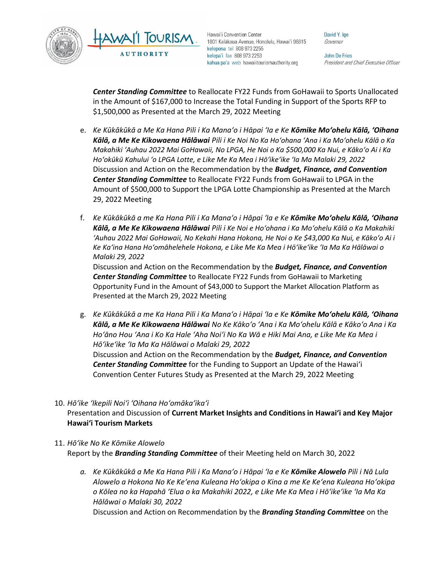



David Y. Ige Governor

John De Fries President and Chief Executive Officer

**Center Standing Committee** to Reallocate FY22 Funds from GoHawaii to Sports Unallocated in the Amount of \$167,000 to Increase the Total Funding in Support of the Sports RFP to \$1,500,000 as Presented at the March 29, 2022 Meeting

- e. *Ke Kūkākūkā a Me Ka Hana Pili i Ka Manaʻo i Hāpai ʻIa e Ke Kōmike Moʻohelu Kālā, ʻOihana Kālā, a Me Ke Kikowaena Hālāwai Pili i Ke Noi No Ka Hoʻohana ʻAna i Ka Moʻohelu Kālā o Ka Makahiki ʻAuhau 2022 Mai GoHawaii, No LPGA, He Noi o Ka \$500,000 Ka Nui, e Kākoʻo Ai i Ka Hoʻokūkū Kahului ʻo LPGA Lotte, e Like Me Ka Mea i Hōʻikeʻike ʻIa Ma Malaki 29, 2022* Discussion and Action on the Recommendation by the *Budget, Finance, and Convention Center Standing Committee* to Reallocate FY22 Funds from GoHawaii to LPGA in the Amount of \$500,000 to Support the LPGA Lotte Championship as Presented at the March 29, 2022 Meeting
- f. *Ke Kūkākūkā a me Ka Hana Pili i Ka Manaʻo i Hāpai ʻIa e Ke Kōmike Moʻohelu Kālā, ʻOihana Kālā, a Me Ke Kikowaena Hālāwai Pili i Ke Noi e Hoʻohana i Ka Moʻohelu Kālā o Ka Makahiki ʻAuhau 2022 Mai GoHawaii, No Kekahi Hana Hokona, He Noi o Ke \$43,000 Ka Nui, e Kākoʻo Ai i Ke Kaʻina Hana Hoʻomāhelehele Hokona, e Like Me Ka Mea i Hōʻikeʻike ʻIa Ma Ka Hālāwai o Malaki 29, 2022*

Discussion and Action on the Recommendation by the *Budget, Finance, and Convention Center Standing Committee* to Reallocate FY22 Funds from GoHawaii to Marketing Opportunity Fund in the Amount of \$43,000 to Support the Market Allocation Platform as Presented at the March 29, 2022 Meeting

g. *Ke Kūkākūkā a me Ka Hana Pili i Ka Manaʻo i Hāpai ʻIa e Ke Kōmike Moʻohelu Kālā, ʻOihana Kālā, a Me Ke Kikowaena Hālāwai No Ke Kākoʻo ʻAna i Ka Moʻohelu Kālā e Kākoʻo Ana i Ka Hoʻāno Hou ʻAna i Ko Ka Hale ʻAha Noiʻi No Ka Wā e Hiki Mai Ana, e Like Me Ka Mea i Hōʻikeʻike ʻIa Ma Ka Hālāwai o Malaki 29, 2022* Discussion and Action on the Recommendation by the *Budget, Finance, and Convention Center Standing Committee* for the Funding to Support an Update of the Hawai'i

Convention Center Futures Study as Presented at the March 29, 2022 Meeting

10. *Hōʻike ʻIkepili Noiʻi ʻOihana Hoʻomākaʻikaʻi*

Presentation and Discussion of **Current Market Insights and Conditions in Hawai'i and Key Major Hawai'i Tourism Markets**

#### 11. *Hōʻike No Ke Kōmike Alowelo* Report by the *Branding Standing Committee* of their Meeting held on March 30, 2022

*a. Ke Kūkākūkā a Me Ka Hana Pili i Ka Manaʻo i Hāpai ʻIa e Ke Kōmike Alowelo Pili i Nā Lula Alowelo a Hokona No Ke Keʻena Kuleana Hoʻokipa o Kina a me Ke Keʻena Kuleana Hoʻokipa o Kōlea no ka Hapahā ʻElua o ka Makahiki 2022, e Like Me Ka Mea i Hōʻikeʻike ʻIa Ma Ka Hālāwai o Malaki 30, 2022* Discussion and Action on Recommendation by the *Branding Standing Committee* on the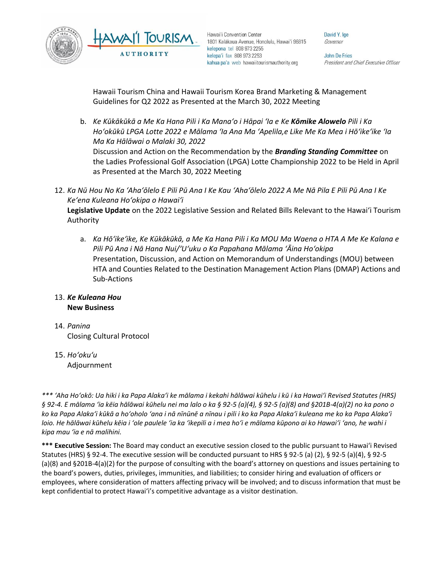

David Y. Ige Governor

**John De Fries** President and Chief Executive Officer

Hawaii Tourism China and Hawaii Tourism Korea Brand Marketing & Management Guidelines for Q2 2022 as Presented at the March 30, 2022 Meeting

- b. *Ke Kūkākūkā a Me Ka Hana Pili i Ka Manaʻo i Hāpai ʻIa e Ke Kōmike Alowelo Pili i Ka Hoʻokūkū LPGA Lotte 2022 e Mālama ʻIa Ana Ma ʻApelila,e Like Me Ka Mea i Hōʻikeʻike ʻIa Ma Ka Hālāwai o Malaki 30, 2022* Discussion and Action on the Recommendation by the *Branding Standing Committee* on the Ladies Professional Golf Association (LPGA) Lotte Championship 2022 to be Held in April as Presented at the March 30, 2022 Meeting
- 12. *Ka Nū Hou No Ka ʻAhaʻōlelo E Pili Pū Ana I Ke Kau ʻAhaʻōlelo 2022 A Me Nā Pila E Pili Pū Ana I Ke Keʻena Kuleana Hoʻokipa o Hawaiʻi* **Legislative Update** on the 2022 Legislative Session and Related Bills Relevant to the Hawaiʻi Tourism Authority
	- a. *Ka Hōʻikeʻike, Ke Kūkākūkā, a Me Ka Hana Pili i Ka MOU Ma Waena o HTA A Me Ke Kalana e Pili Pū Ana i Nā Hana Nui/ʻUʻuku o Ka Papahana Mālama ʻĀina Hoʻokipa* Presentation, Discussion, and Action on Memorandum of Understandings (MOU) between HTA and Counties Related to the Destination Management Action Plans (DMAP) Actions and Sub-Actions
- 13. *Ke Kuleana Hou* **New Business**
- 14. *Panina* Closing Cultural Protocol
- 15. *Ho'oku'u* Adjournment

*\*\*\* ʻAha Hoʻokō: Ua hiki i ka Papa Alakaʻi ke mālama i kekahi hālāwai kūhelu i kū i ka Hawaiʻi Revised Statutes (HRS) § 92-4. E mālama ʻia kēia hālāwai kūhelu nei ma lalo o ka § 92-5 (a)(4), § 92-5 (a)(8) and §201B-4(a)(2) no ka pono o ko ka Papa Alakaʻi kūkā a hoʻoholo ʻana i nā nīnūnē a nīnau i pili i ko ka Papa Alakaʻi kuleana me ko ka Papa Alakaʻi loio. He hālāwai kūhelu kēia i ʻole paulele ʻia ka ʻikepili a i mea hoʻi e mālama kūpono ai ko Hawaiʻi ʻano, he wahi i kipa mau ʻia e nā malihini.*

**\*\*\* Executive Session:** The Board may conduct an executive session closed to the public pursuant to Hawai'i Revised Statutes (HRS) § 92-4. The executive session will be conducted pursuant to HRS § 92-5 (a) (2), § 92-5 (a)(4), § 92-5 (a)(8) and §201B-4(a)(2) for the purpose of consulting with the board's attorney on questions and issues pertaining to the board's powers, duties, privileges, immunities, and liabilities; to consider hiring and evaluation of officers or employees, where consideration of matters affecting privacy will be involved; and to discuss information that must be kept confidential to protect Hawai'i's competitive advantage as a visitor destination.